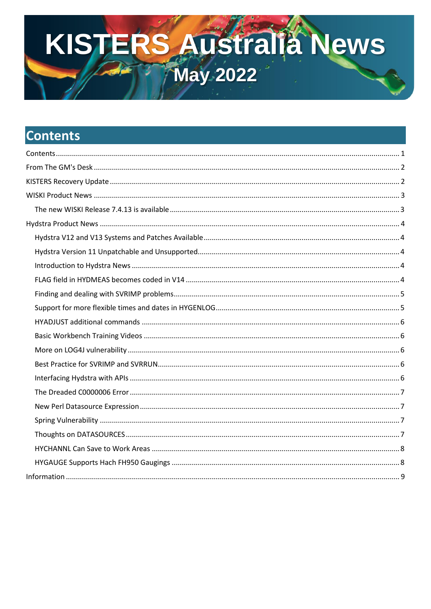# KISTERS AUStralia News

# <span id="page-0-0"></span>**Contents**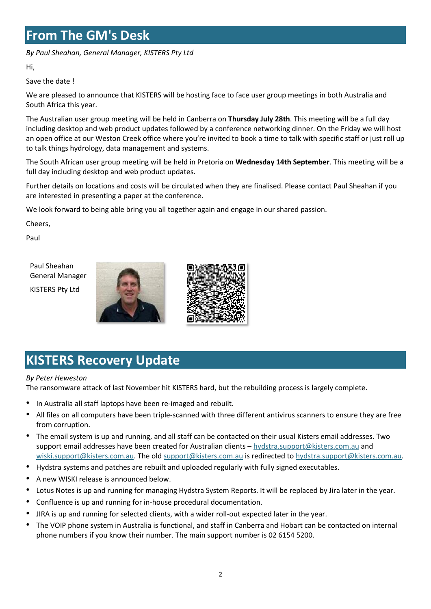# <span id="page-1-0"></span>**From The GM's Desk**

*By Paul Sheahan, General Manager, KISTERS Pty Ltd*

Hi,

Save the date !

We are pleased to announce that KISTERS will be hosting face to face user group meetings in both Australia and South Africa this year.

The Australian user group meeting will be held in Canberra on **Thursday July 28th**. This meeting will be a full day including desktop and web product updates followed by a conference networking dinner. On the Friday we will host an open office at our Weston Creek office where you're invited to book a time to talk with specific staff or just roll up to talk things hydrology, data management and systems.

The South African user group meeting will be held in Pretoria on **Wednesday 14th September**. This meeting will be a full day including desktop and web product updates.

Further details on locations and costs will be circulated when they are finalised. Please contact Paul Sheahan if you are interested in presenting a paper at the conference.

We look forward to being able bring you all together again and engage in our shared passion.

Cheers,

Paul

Paul Sheahan General Manager KISTERS Pty Ltd





# <span id="page-1-1"></span>**KISTERS Recovery Update**

#### *By Peter Heweston*

The ransomware attack of last November hit KISTERS hard, but the rebuilding process is largely complete.

- In Australia all staff laptops have been re-imaged and rebuilt.
- All files on all computers have been triple-scanned with three different antivirus scanners to ensure they are free from corruption.
- The email system is up and running, and all staff can be contacted on their usual Kisters email addresses. Two support email addresses have been created for Australian clients - [hydstra.support@kisters.com.au](mailto:hydstra.support@kisters.com.au) and [wiski.support@kisters.com.au.](mailto:wiski.support@kisters.com.au) The old [support@kisters.com.au](mailto:support@kisters.com.au) is redirected t[o hydstra.support@kisters.com.au.](mailto:hydstra.support@kisters.com.au)
- Hydstra systems and patches are rebuilt and uploaded regularly with fully signed executables.
- A new WISKI release is announced below.
- Lotus Notes is up and running for managing Hydstra System Reports. It will be replaced by Jira later in the year.
- Confluence is up and running for in-house procedural documentation.
- JIRA is up and running for selected clients, with a wider roll-out expected later in the year.
- The VOIP phone system in Australia is functional, and staff in Canberra and Hobart can be contacted on internal phone numbers if you know their number. The main support number is 02 6154 5200.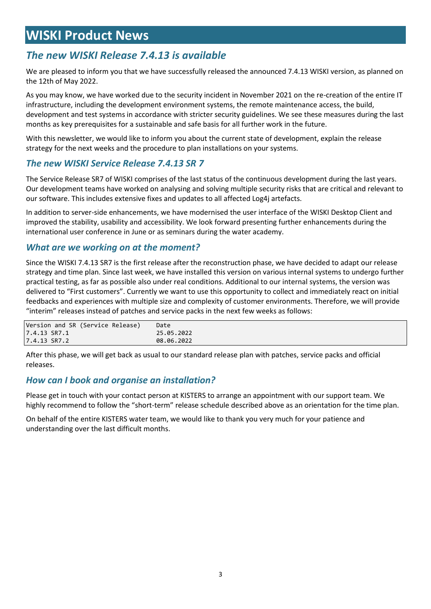# <span id="page-2-0"></span>**WISKI Product News**

## <span id="page-2-1"></span>*The new WISKI Release 7.4.13 is available*

We are pleased to inform you that we have successfully released the announced 7.4.13 WISKI version, as planned on the 12th of May 2022.

As you may know, we have worked due to the security incident in November 2021 on the re-creation of the entire IT infrastructure, including the development environment systems, the remote maintenance access, the build, development and test systems in accordance with stricter security guidelines. We see these measures during the last months as key prerequisites for a sustainable and safe basis for all further work in the future.

With this newsletter, we would like to inform you about the current state of development, explain the release strategy for the next weeks and the procedure to plan installations on your systems.

#### *The new WISKI Service Release 7.4.13 SR 7*

The Service Release SR7 of WISKI comprises of the last status of the continuous development during the last years. Our development teams have worked on analysing and solving multiple security risks that are critical and relevant to our software. This includes extensive fixes and updates to all affected Log4j artefacts.

In addition to server-side enhancements, we have modernised the user interface of the WISKI Desktop Client and improved the stability, usability and accessibility. We look forward presenting further enhancements during the international user conference in June or as seminars during the water academy.

#### *What are we working on at the moment?*

Since the WISKI 7.4.13 SR7 is the first release after the reconstruction phase, we have decided to adapt our release strategy and time plan. Since last week, we have installed this version on various internal systems to undergo further practical testing, as far as possible also under real conditions. Additional to our internal systems, the version was delivered to "First customers". Currently we want to use this opportunity to collect and immediately react on initial feedbacks and experiences with multiple size and complexity of customer environments. Therefore, we will provide "interim" releases instead of patches and service packs in the next few weeks as follows:

| Version and SR (Service Release) | Date       |
|----------------------------------|------------|
| 7.4.13 SR7.1                     | 25.05.2022 |
| 7.4.13 SR7.2                     | 08.06.2022 |

After this phase, we will get back as usual to our standard release plan with patches, service packs and official releases.

#### *How can I book and organise an installation?*

Please get in touch with your contact person at KISTERS to arrange an appointment with our support team. We highly recommend to follow the "short-term" release schedule described above as an orientation for the time plan.

On behalf of the entire KISTERS water team, we would like to thank you very much for your patience and understanding over the last difficult months.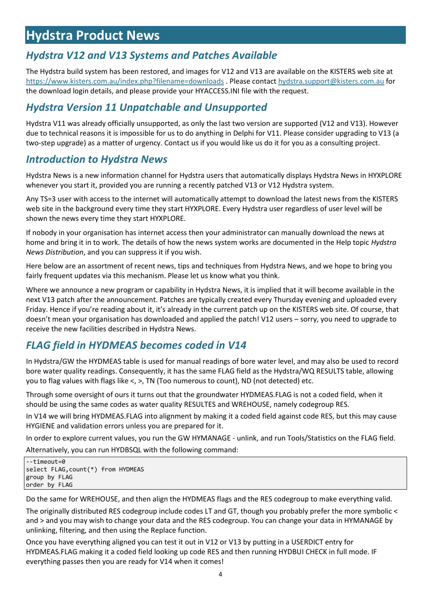# <span id="page-3-0"></span>**Hydstra Product News**

## <span id="page-3-1"></span>*Hydstra V12 and V13 Systems and Patches Available*

The Hydstra build system has been restored, and images for V12 and V13 are available on the KISTERS web site at <https://www.kisters.com.au/index.php?filename=downloads> . Please contact [hydstra.support@kisters.com.au](mailto:hydstra.support@kisters.com.au) for the download login details, and please provide your HYACCESS.INI file with the request.

## <span id="page-3-2"></span>*Hydstra Version 11 Unpatchable and Unsupported*

Hydstra V11 was already officially unsupported, as only the last two version are supported (V12 and V13). However due to technical reasons it is impossible for us to do anything in Delphi for V11. Please consider upgrading to V13 (a two-step upgrade) as a matter of urgency. Contact us if you would like us do it for you as a consulting project.

## <span id="page-3-3"></span>*Introduction to Hydstra News*

Hydstra News is a new information channel for Hydstra users that automatically displays Hydstra News in HYXPLORE whenever you start it, provided you are running a recently patched V13 or V12 Hydstra system.

Any TS=3 user with access to the internet will automatically attempt to download the latest news from the KISTERS web site in the background every time they start HYXPLORE. Every Hydstra user regardless of user level will be shown the news every time they start HYXPLORE.

If nobody in your organisation has internet access then your administrator can manually download the news at home and bring it in to work. The details of how the news system works are documented in the Help topic *Hydstra News Distribution*, and you can suppress it if you wish.

Here below are an assortment of recent news, tips and techniques from Hydstra News, and we hope to bring you fairly frequent updates via this mechanism. Please let us know what you think.

Where we announce a new program or capability in Hydstra News, it is implied that it will become available in the next V13 patch after the announcement. Patches are typically created every Thursday evening and uploaded every Friday. Hence if you're reading about it, it's already in the current patch up on the KISTERS web site. Of course, that doesn't mean your organisation has downloaded and applied the patch! V12 users – sorry, you need to upgrade to receive the new facilities described in Hydstra News.

## <span id="page-3-4"></span>*FLAG field in HYDMEAS becomes coded in V14*

In Hydstra/GW the HYDMEAS table is used for manual readings of bore water level, and may also be used to record bore water quality readings. Consequently, it has the same FLAG field as the Hydstra/WQ RESULTS table, allowing you to flag values with flags like <, >, TN (Too numerous to count), ND (not detected) etc.

Through some oversight of ours it turns out that the groundwater HYDMEAS.FLAG is not a coded field, when it should be using the same codes as water quality RESULTES and WREHOUSE, namely codegroup RES.

In V14 we will bring HYDMEAS.FLAG into alignment by making it a coded field against code RES, but this may cause HYGIENE and validation errors unless you are prepared for it.

In order to explore current values, you run the GW HYMANAGE - unlink, and run Tools/Statistics on the FLAG field.

Alternatively, you can run HYDBSQL with the following command:

```
--timeout=0
select FLAG,count(*) from HYDMEAS
group by FLAG
order by FLAG
```
Do the same for WREHOUSE, and then align the HYDMEAS flags and the RES codegroup to make everything valid.

The originally distributed RES codegroup include codes LT and GT, though you probably prefer the more symbolic < and > and you may wish to change your data and the RES codegroup. You can change your data in HYMANAGE by unlinking, filtering, and then using the Replace function.

Once you have everything aligned you can test it out in V12 or V13 by putting in a USERDICT entry for HYDMEAS.FLAG making it a coded field looking up code RES and then running HYDBUI CHECK in full mode. IF everything passes then you are ready for V14 when it comes!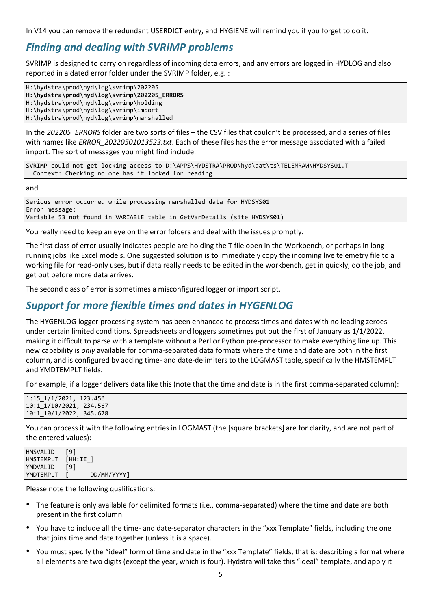In V14 you can remove the redundant USERDICT entry, and HYGIENE will remind you if you forget to do it.

## <span id="page-4-0"></span>*Finding and dealing with SVRIMP problems*

SVRIMP is designed to carry on regardless of incoming data errors, and any errors are logged in HYDLOG and also reported in a dated error folder under the SVRIMP folder, e.g. :

H:\hydstra\prod\hyd\log\svrimp\202205 **H:\hydstra\prod\hyd\log\svrimp\202205\_ERRORS** H:\hydstra\prod\hyd\log\svrimp\holding H:\hydstra\prod\hyd\log\svrimp\import H:\hydstra\prod\hyd\log\svrimp\marshalled

In the 202205 ERRORS folder are two sorts of files – the CSV files that couldn't be processed, and a series of files with names like *ERROR\_20220501013523.txt*. Each of these files has the error message associated with a failed import. The sort of messages you might find include:

SVRIMP could not get locking access to D:\APPS\HYDSTRA\PROD\hyd\dat\ts\TELEMRAW\HYDSYS01.T Context: Checking no one has it locked for reading

and

```
Serious error occurred while processing marshalled data for HYDSYS01
Error message:
Variable 53 not found in VARIABLE table in GetVarDetails (site HYDSYS01)
```
You really need to keep an eye on the error folders and deal with the issues promptly.

The first class of error usually indicates people are holding the T file open in the Workbench, or perhaps in longrunning jobs like Excel models. One suggested solution is to immediately copy the incoming live telemetry file to a working file for read-only uses, but if data really needs to be edited in the workbench, get in quickly, do the job, and get out before more data arrives.

The second class of error is sometimes a misconfigured logger or import script.

## <span id="page-4-1"></span>*Support for more flexible times and dates in HYGENLOG*

The HYGENLOG logger processing system has been enhanced to process times and dates with no leading zeroes under certain limited conditions. Spreadsheets and loggers sometimes put out the first of January as 1/1/2022, making it difficult to parse with a template without a Perl or Python pre-processor to make everything line up. This new capability is *only* available for comma-separated data formats where the time and date are both in the first column, and is configured by adding time- and date-delimiters to the LOGMAST table, specifically the HMSTEMPLT and YMDTEMPLT fields.

For example, if a logger delivers data like this (note that the time and date is in the first comma-separated column):

| $1:15_1/1/2021$ , 123.456 |
|---------------------------|
| 10:1_1/10/2021, 234.567   |
| $10:1_10/1/2022, 345.678$ |

You can process it with the following entries in LOGMAST (the [square brackets] are for clarity, and are not part of the entered values):

| HMSVALID         | [9]          |
|------------------|--------------|
| <b>HMSTEMPLT</b> | [HH:II<br>-- |
| YMDVALID         | [9]          |
| YMDTEMPLT        | DD/MM/YYYY1  |
|                  |              |

Please note the following qualifications:

- The feature is only available for delimited formats (i.e., comma-separated) where the time and date are both present in the first column.
- You have to include all the time- and date-separator characters in the "xxx Template" fields, including the one that joins time and date together (unless it is a space).
- You must specify the "ideal" form of time and date in the "xxx Template" fields, that is: describing a format where all elements are two digits (except the year, which is four). Hydstra will take this "ideal" template, and apply it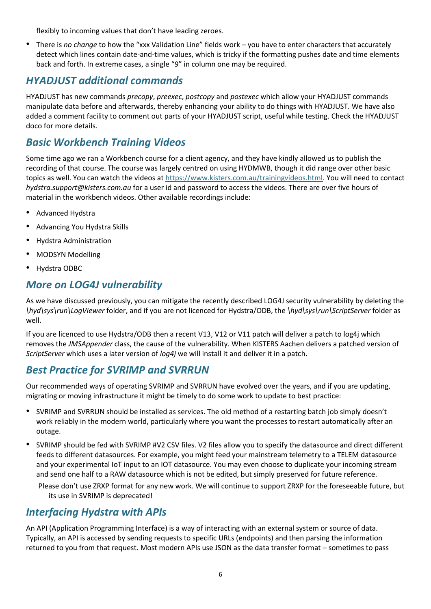flexibly to incoming values that don't have leading zeroes.

• There is *no change* to how the "xxx Validation Line" fields work – you have to enter characters that accurately detect which lines contain date-and-time values, which is tricky if the formatting pushes date and time elements back and forth. In extreme cases, a single "9" in column one may be required.

## <span id="page-5-0"></span>*HYADJUST additional commands*

HYADJUST has new commands *precopy*, *preexec*, *postcopy* and *postexec* which allow your HYADJUST commands manipulate data before and afterwards, thereby enhancing your ability to do things with HYADJUST. We have also added a comment facility to comment out parts of your HYADJUST script, useful while testing. Check the HYADJUST doco for more details.

## <span id="page-5-1"></span>*Basic Workbench Training Videos*

Some time ago we ran a Workbench course for a client agency, and they have kindly allowed us to publish the recording of that course. The course was largely centred on using HYDMWB, though it did range over other basic topics as well. You can watch the videos a[t https://www.kisters.com.au/trainingvideos.html.](https://www.kisters.com.au/trainingvideos.html) You will need to contact *hydstra.support@kisters.com.au* for a user id and password to access the videos. There are over five hours of material in the workbench videos. Other available recordings include:

- Advanced Hydstra
- Advancing You Hydstra Skills
- Hydstra Administration
- MODSYN Modelling
- Hydstra ODBC

## <span id="page-5-2"></span>*More on LOG4J vulnerability*

As we have discussed previously, you can mitigate the recently described LOG4J security vulnerability by deleting the *\hyd\sys\run\LogViewer* folder, and if you are not licenced for Hydstra/ODB, the *\hyd\sys\run\ScriptServer* folder as well.

If you are licenced to use Hydstra/ODB then a recent V13, V12 or V11 patch will deliver a patch to log4j which removes the *JMSAppender* class, the cause of the vulnerability. When KISTERS Aachen delivers a patched version of *ScriptServer* which uses a later version of *log4j* we will install it and deliver it in a patch.

## <span id="page-5-3"></span>*Best Practice for SVRIMP and SVRRUN*

Our recommended ways of operating SVRIMP and SVRRUN have evolved over the years, and if you are updating, migrating or moving infrastructure it might be timely to do some work to update to best practice:

- SVRIMP and SVRRUN should be installed as services. The old method of a restarting batch job simply doesn't work reliably in the modern world, particularly where you want the processes to restart automatically after an outage.
- SVRIMP should be fed with SVRIMP #V2 CSV files. V2 files allow you to specify the datasource and direct different feeds to different datasources. For example, you might feed your mainstream telemetry to a TELEM datasource and your experimental IoT input to an IOT datasource. You may even choose to duplicate your incoming stream and send one half to a RAW datasource which is not be edited, but simply preserved for future reference.
	- Please don't use ZRXP format for any new work. We will continue to support ZRXP for the foreseeable future, but its use in SVRIMP is deprecated!

## <span id="page-5-4"></span>*Interfacing Hydstra with APIs*

An API (Application Programming Interface) is a way of interacting with an external system or source of data. Typically, an API is accessed by sending requests to specific URLs (endpoints) and then parsing the information returned to you from that request. Most modern APIs use JSON as the data transfer format – sometimes to pass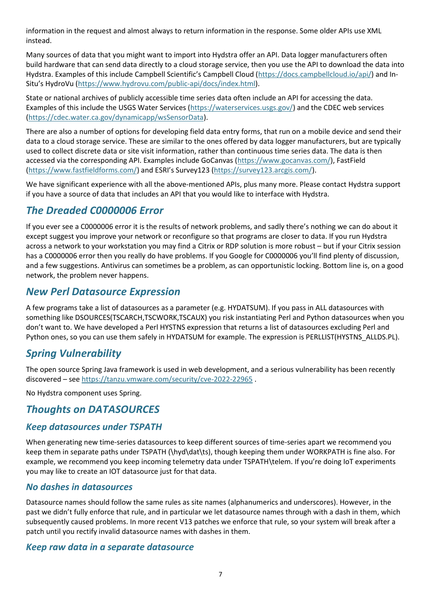information in the request and almost always to return information in the response. Some older APIs use XML instead.

Many sources of data that you might want to import into Hydstra offer an API. Data logger manufacturers often build hardware that can send data directly to a cloud storage service, then you use the API to download the data into Hydstra. Examples of this include Campbell Scientific's Campbell Cloud ([https://docs.campbellcloud.io/api/\)](https://docs.campbellcloud.io/api/) and In-Situ's HydroVu ([https://www.hydrovu.com/public-api/docs/index.html\)](https://www.hydrovu.com/public-api/docs/index.html).

State or national archives of publicly accessible time series data often include an API for accessing the data. Examples of this include the USGS Water Services [\(https://waterservices.usgs.gov/\)](https://waterservices.usgs.gov/) and the CDEC web services [\(https://cdec.water.ca.gov/dynamicapp/wsSensorData\)](https://cdec.water.ca.gov/dynamicapp/wsSensorData).

There are also a number of options for developing field data entry forms, that run on a mobile device and send their data to a cloud storage service. These are similar to the ones offered by data logger manufacturers, but are typically used to collect discrete data or site visit information, rather than continuous time series data. The data is then accessed via the corresponding API. Examples include GoCanvas [\(https://www.gocanvas.com/\)](https://www.gocanvas.com/), FastField [\(https://www.fastfieldforms.com/](https://www.fastfieldforms.com/)) and ESRI's Survey123 ([https://survey123.arcgis.com/\)](https://survey123.arcgis.com/).

We have significant experience with all the above-mentioned APIs, plus many more. Please contact Hydstra support if you have a source of data that includes an API that you would like to interface with Hydstra.

## <span id="page-6-0"></span>*The Dreaded C0000006 Error*

If you ever see a C0000006 error it is the results of network problems, and sadly there's nothing we can do about it except suggest you improve your network or reconfigure so that programs are closer to data. If you run Hydstra across a network to your workstation you may find a Citrix or RDP solution is more robust – but if your Citrix session has a C0000006 error then you really do have problems. If you Google for C0000006 you'll find plenty of discussion, and a few suggestions. Antivirus can sometimes be a problem, as can opportunistic locking. Bottom line is, on a good network, the problem never happens.

## <span id="page-6-1"></span>*New Perl Datasource Expression*

A few programs take a list of datasources as a parameter (e.g. HYDATSUM). If you pass in ALL datasources with something like DSOURCES(TSCARCH,TSCWORK,TSCAUX) you risk instantiating Perl and Python datasources when you don't want to. We have developed a Perl HYSTNS expression that returns a list of datasources excluding Perl and Python ones, so you can use them safely in HYDATSUM for example. The expression is PERLLIST(HYSTNS\_ALLDS.PL).

## <span id="page-6-2"></span>*Spring Vulnerability*

The open source Spring Java framework is used in web development, and a serious vulnerability has been recently discovered – see<https://tanzu.vmware.com/security/cve-2022-22965> .

No Hydstra component uses Spring.

## <span id="page-6-3"></span>*Thoughts on DATASOURCES*

#### *Keep datasources under TSPATH*

When generating new time-series datasources to keep different sources of time-series apart we recommend you keep them in separate paths under TSPATH (\hyd\dat\ts), though keeping them under WORKPATH is fine also. For example, we recommend you keep incoming telemetry data under TSPATH\telem. If you're doing IoT experiments you may like to create an IOT datasource just for that data.

#### *No dashes in datasources*

Datasource names should follow the same rules as site names (alphanumerics and underscores). However, in the past we didn't fully enforce that rule, and in particular we let datasource names through with a dash in them, which subsequently caused problems. In more recent V13 patches we enforce that rule, so your system will break after a patch until you rectify invalid datasource names with dashes in them.

#### *Keep raw data in a separate datasource*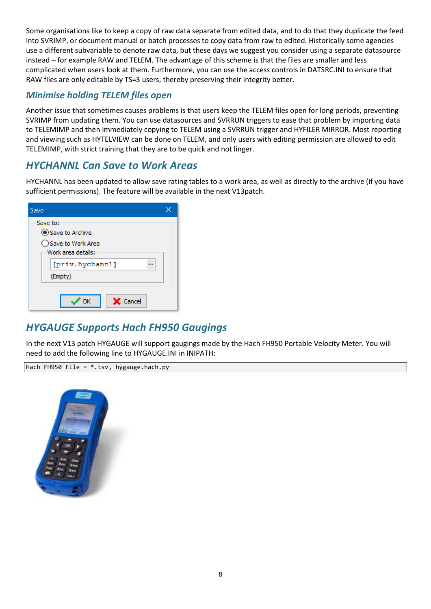Some organisations like to keep a copy of raw data separate from edited data, and to do that they duplicate the feed into SVRIMP, or document manual or batch processes to copy data from raw to edited. Historically some agencies use a different subvariable to denote raw data, but these days we suggest you consider using a separate datasource instead – for example RAW and TELEM. The advantage of this scheme is that the files are smaller and less complicated when users look at them. Furthermore, you can use the access controls in DATSRC.INI to ensure that RAW files are only editable by TS=3 users, thereby preserving their integrity better.

## *Minimise holding TELEM files open*

Another issue that sometimes causes problems is that users keep the TELEM files open for long periods, preventing SVRIMP from updating them. You can use datasources and SVRRUN triggers to ease that problem by importing data to TELEMIMP and then immediately copying to TELEM using a SVRRUN trigger and HYFILER MIRROR. Most reporting and viewing such as HYTELVIEW can be done on TELEM, and only users with editing permission are allowed to edit TELEMIMP, with strict training that they are to be quick and not linger.

## <span id="page-7-0"></span>*HYCHANNL Can Save to Work Areas*

HYCHANNL has been updated to allow save rating tables to a work area, as well as directly to the archive (if you have sufficient permissions). The feature will be available in the next V13patch.

| Save                                                                     |
|--------------------------------------------------------------------------|
| Save to:<br>Save to Archive<br>◯ Save to Work Area<br>Work area details: |
| [priv.hychannl]<br>■■■<br>(Empty)                                        |
| Cancel<br>OК<br>X.                                                       |

## <span id="page-7-1"></span>*HYGAUGE Supports Hach FH950 Gaugings*

In the next V13 patch HYGAUGE will support gaugings made by the Hach FH950 Portable Velocity Meter. You will need to add the following line to HYGAUGE.INI in INIPATH:

Hach FH950 File =  $*.tsv, hygauge.hach.py$ 

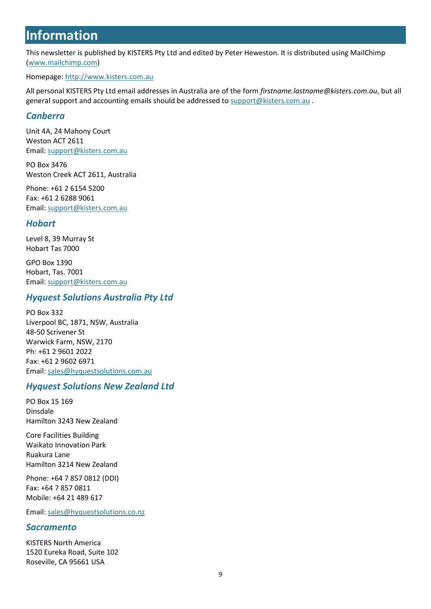## <span id="page-8-0"></span>**Information**

This newsletter is published by KISTERS Pty Ltd and edited by Peter Heweston. It is distributed using MailChimp [\(www.mailchimp.com\)](http://www.mailchimp.com/)

Homepage: [http://www.kisters.com.au](http://www.kisters.com.au/)

All personal KISTERS Pty Ltd email addresses in Australia are of the form *firstname.lastname@kisters.com.au*, but all general support and accounting emails should be addressed to [support@kisters.com.au](mailto:support@kisters.com.au) .

## *Canberra*

Unit 4A, 24 Mahony Court Weston ACT 2611 Email: [support@kisters.com.au](mailto:support@kisters.com.au)

PO Box 3476 Weston Creek ACT 2611, Australia

Phone: +61 2 6154 5200 Fax: +61 2 6288 9061 Email: [support@kisters.com.au](mailto:support@kisters.com.au)

## *Hobart*

Level 8, 39 Murray St Hobart Tas 7000

GPO Box 1390 Hobart, Tas. 7001 Email: [support@kisters.com.au](mailto:support@kisters.com.au)

#### *Hyquest Solutions Australia Pty Ltd*

PO Box 332 Liverpool BC, 1871, NSW, Australia 48-50 Scrivener St Warwick Farm, NSW, 2170 Ph: +61 2 9601 2022 Fax: +61 2 9602 6971 Email: [sales@hyquestsolutions.com.au](mailto:sales@hyquestsolutions.com.au)

## *Hyquest Solutions New Zealand Ltd*

PO Box 15 169 Dinsdale Hamilton 3243 New Zealand

Core Facilities Building Waikato Innovation Park Ruakura Lane Hamilton 3214 New Zealand

Phone: +64 7 857 0812 (DDI) Fax: +64 7 857 0811 Mobile: +64 21 489 617

Email: [sales@hyquestsolutions.co.nz](mailto:sales@hyquestsolutions.co.nz)

#### *Sacramento*

KISTERS North America 1520 Eureka Road, Suite 102 Roseville, CA 95661 USA